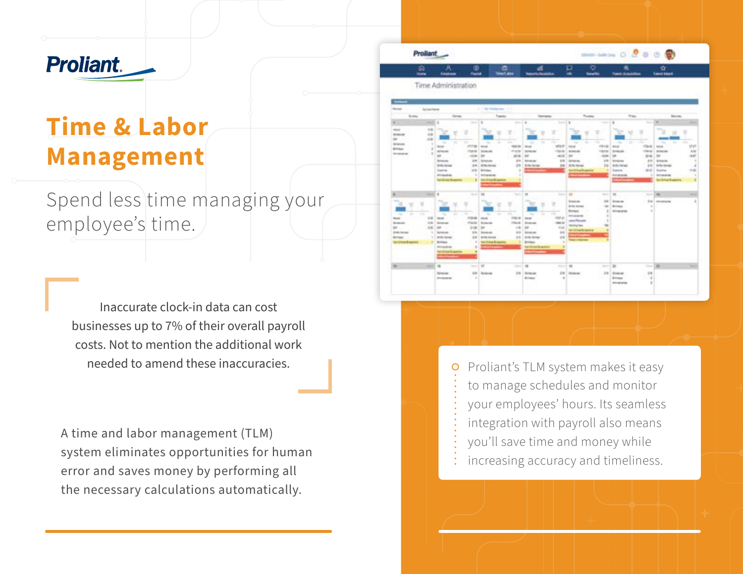# **Proliant.**

## **Time & Labor Management**

Spend less time managing your employee's time.

Inaccurate clock-in data can cost businesses up to 7% of their overall payroll costs. Not to mention the additional work needed to amend these inaccuracies.

A time and labor management (TLM) system eliminates opportunities for human error and saves money by performing all the necessary calculations automatically.



Proliant's TLM system makes it easy  $\circ$ to manage schedules and monitor your employees' hours. Its seamless integration with payroll also means you'll save time and money while increasing accuracy and timeliness.